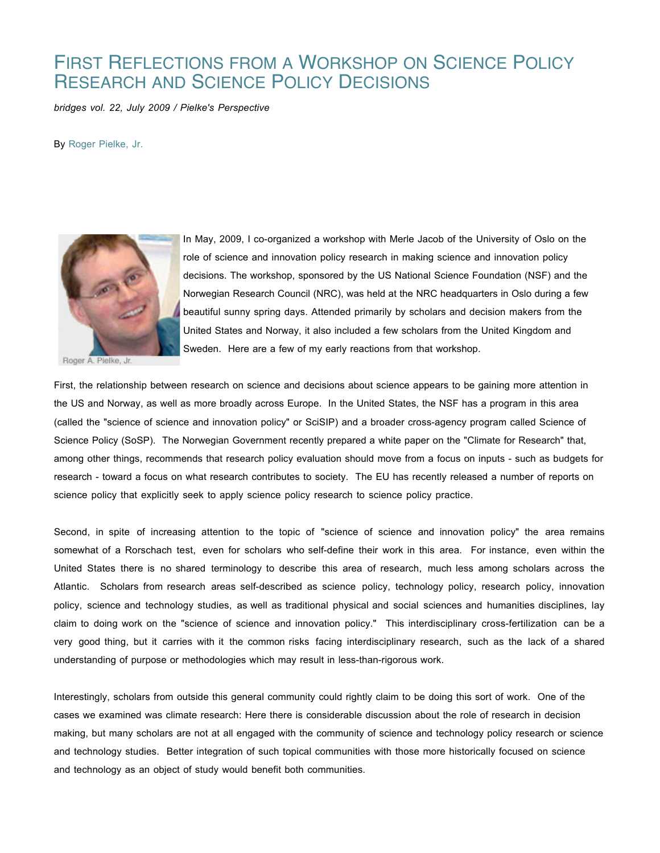## FIRST REFLECTIONS FROM A WORKSHOP ON SCIENCE POLICY RESEARCH AND SCIENCE POLICY DECISIONS

*bridges vol. 22, July 2009 / Pielke's Perspective*

By Roger Pielke, Jr.



Roger A. Pielke, Jr.

In May, 2009, I co-organized a workshop with Merle Jacob of the University of Oslo on the role of science and innovation policy research in making science and innovation policy decisions. The workshop, sponsored by the US National Science Foundation (NSF) and the Norwegian Research Council (NRC), was held at the NRC headquarters in Oslo during a few beautiful sunny spring days. Attended primarily by scholars and decision makers from the United States and Norway, it also included a few scholars from the United Kingdom and Sweden. Here are a few of my early reactions from that workshop.

First, the relationship between research on science and decisions about science appears to be gaining more attention in the US and Norway, as well as more broadly across Europe. In the United States, the NSF has a program in this area (called the "science of science and innovation policy" or SciSIP) and a broader cross-agency program called Science of Science Policy (SoSP). The Norwegian Government recently prepared a white paper on the "Climate for Research" that, among other things, recommends that research policy evaluation should move from a focus on inputs - such as budgets for research - toward a focus on what research contributes to society. The EU has recently released a number of reports on science policy that explicitly seek to apply science policy research to science policy practice.

Second, in spite of increasing attention to the topic of "science of science and innovation policy" the area remains somewhat of a Rorschach test, even for scholars who self-define their work in this area. For instance, even within the United States there is no shared terminology to describe this area of research, much less among scholars across the Atlantic. Scholars from research areas self-described as science policy, technology policy, research policy, innovation policy, science and technology studies, as well as traditional physical and social sciences and humanities disciplines, lay claim to doing work on the "science of science and innovation policy." This interdisciplinary cross-fertilization can be a very good thing, but it carries with it the common risks facing interdisciplinary research, such as the lack of a shared understanding of purpose or methodologies which may result in less-than-rigorous work.

Interestingly, scholars from outside this general community could rightly claim to be doing this sort of work. One of the cases we examined was climate research: Here there is considerable discussion about the role of research in decision making, but many scholars are not at all engaged with the community of science and technology policy research or science and technology studies. Better integration of such topical communities with those more historically focused on science and technology as an object of study would benefit both communities.